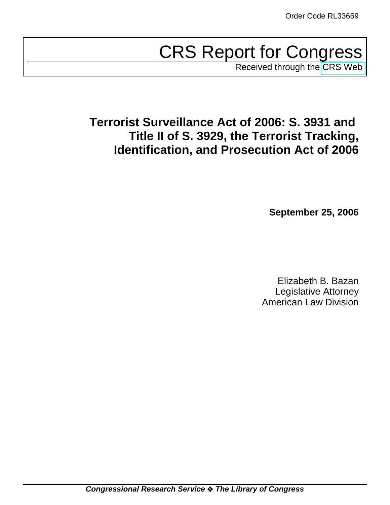# CRS Report for Congress

Received through the [CRS Web](http://www.fas.org/sgp/crs/intel/index.html)

# **Terrorist Surveillance Act of 2006: S. 3931 and Title II of S. 3929, the Terrorist Tracking, Identification, and Prosecution Act of 2006**

**September 25, 2006**

Elizabeth B. Bazan Legislative Attorney American Law Division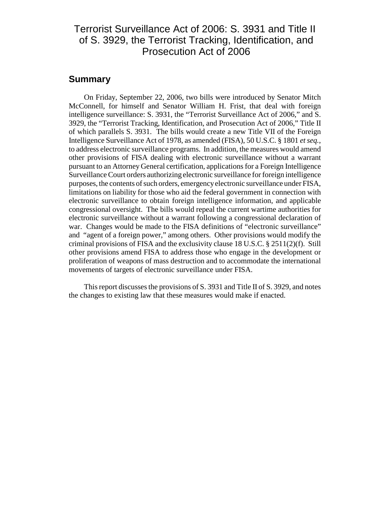# Terrorist Surveillance Act of 2006: S. 3931 and Title II of S. 3929, the Terrorist Tracking, Identification, and Prosecution Act of 2006

## **Summary**

On Friday, September 22, 2006, two bills were introduced by Senator Mitch McConnell, for himself and Senator William H. Frist, that deal with foreign intelligence surveillance: S. 3931, the "Terrorist Surveillance Act of 2006," and S. 3929, the "Terrorist Tracking, Identification, and Prosecution Act of 2006," Title II of which parallels S. 3931. The bills would create a new Title VII of the Foreign Intelligence Surveillance Act of 1978, as amended (FISA), 50 U.S.C. § 1801 *et seq.*, to address electronic surveillance programs. In addition, the measures would amend other provisions of FISA dealing with electronic surveillance without a warrant pursuant to an Attorney General certification, applications for a Foreign Intelligence Surveillance Court orders authorizing electronic surveillance for foreign intelligence purposes, the contents of such orders, emergency electronic surveillance under FISA, limitations on liability for those who aid the federal government in connection with electronic surveillance to obtain foreign intelligence information, and applicable congressional oversight. The bills would repeal the current wartime authorities for electronic surveillance without a warrant following a congressional declaration of war. Changes would be made to the FISA definitions of "electronic surveillance" and "agent of a foreign power," among others. Other provisions would modify the criminal provisions of FISA and the exclusivity clause 18 U.S.C. § 2511(2)(f). Still other provisions amend FISA to address those who engage in the development or proliferation of weapons of mass destruction and to accommodate the international movements of targets of electronic surveillance under FISA.

This report discusses the provisions of S. 3931 and Title II of S. 3929, and notes the changes to existing law that these measures would make if enacted.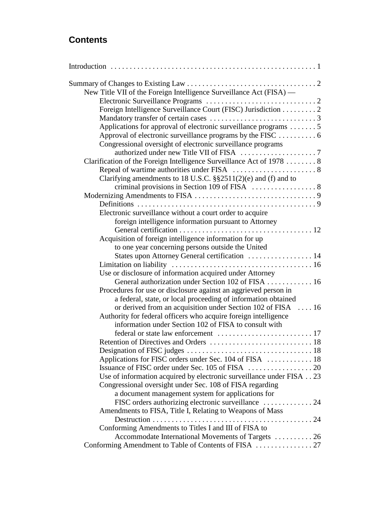# **Contents**

| New Title VII of the Foreign Intelligence Surveillance Act (FISA) —   |  |
|-----------------------------------------------------------------------|--|
|                                                                       |  |
| Foreign Intelligence Surveillance Court (FISC) Jurisdiction 2         |  |
|                                                                       |  |
| Applications for approval of electronic surveillance programs 5       |  |
| Approval of electronic surveillance programs by the FISC  6           |  |
| Congressional oversight of electronic surveillance programs           |  |
|                                                                       |  |
| Clarification of the Foreign Intelligence Surveillance Act of 1978  8 |  |
|                                                                       |  |
| Clarifying amendments to 18 U.S.C. $\S$ §2511(2)(e) and (f) and to    |  |
|                                                                       |  |
|                                                                       |  |
|                                                                       |  |
| Electronic surveillance without a court order to acquire              |  |
| foreign intelligence information pursuant to Attorney                 |  |
|                                                                       |  |
| Acquisition of foreign intelligence information for up                |  |
| to one year concerning persons outside the United                     |  |
| States upon Attorney General certification  14                        |  |
|                                                                       |  |
| Use or disclosure of information acquired under Attorney              |  |
| General authorization under Section 102 of FISA  16                   |  |
| Procedures for use or disclosure against an aggrieved person in       |  |
| a federal, state, or local proceeding of information obtained         |  |
| or derived from an acquisition under Section 102 of FISA  16          |  |
| Authority for federal officers who acquire foreign intelligence       |  |
| information under Section 102 of FISA to consult with                 |  |
|                                                                       |  |
|                                                                       |  |
| Applications for FISC orders under Sec. 104 of FISA  18               |  |
|                                                                       |  |
| Use of information acquired by electronic surveillance under FISA 23  |  |
| Congressional oversight under Sec. 108 of FISA regarding              |  |
| a document management system for applications for                     |  |
|                                                                       |  |
| Amendments to FISA, Title I, Relating to Weapons of Mass              |  |
|                                                                       |  |
| Conforming Amendments to Titles I and III of FISA to                  |  |
| Accommodate International Movements of Targets  26                    |  |
| Conforming Amendment to Table of Contents of FISA  27                 |  |
|                                                                       |  |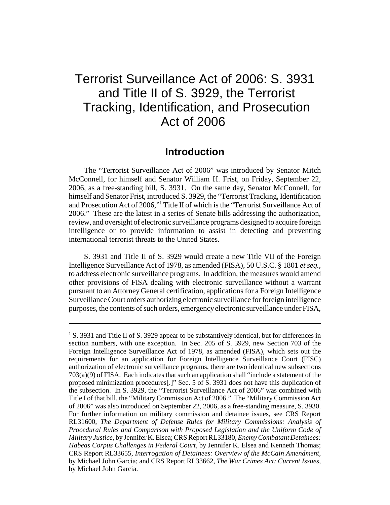# Terrorist Surveillance Act of 2006: S. 3931 and Title II of S. 3929, the Terrorist Tracking, Identification, and Prosecution Act of 2006

### **Introduction**

The "Terrorist Surveillance Act of 2006" was introduced by Senator Mitch McConnell, for himself and Senator William H. Frist, on Friday, September 22, 2006, as a free-standing bill, S. 3931. On the same day, Senator McConnell, for himself and Senator Frist, introduced S. 3929, the "Terrorist Tracking, Identification and Prosecution Act of 2006,"1 Title II of which is the "Terrorist Surveillance Act of 2006." These are the latest in a series of Senate bills addressing the authorization, review, and oversight of electronic surveillance programs designed to acquire foreign intelligence or to provide information to assist in detecting and preventing international terrorist threats to the United States.

S. 3931 and Title II of S. 3929 would create a new Title VII of the Foreign Intelligence Surveillance Act of 1978, as amended (FISA), 50 U.S.C. § 1801 *et seq.*, to address electronic surveillance programs. In addition, the measures would amend other provisions of FISA dealing with electronic surveillance without a warrant pursuant to an Attorney General certification, applications for a Foreign Intelligence Surveillance Court orders authorizing electronic surveillance for foreign intelligence purposes, the contents of such orders, emergency electronic surveillance under FISA,

<sup>&</sup>lt;sup>1</sup> S. 3931 and Title II of S. 3929 appear to be substantively identical, but for differences in section numbers, with one exception. In Sec. 205 of S. 3929, new Section 703 of the Foreign Intelligence Surveillance Act of 1978, as amended (FISA), which sets out the requirements for an application for Foreign Intelligence Surveillance Court (FISC) authorization of electronic surveillance programs, there are two identical new subsections 703(a)(9) of FISA. Each indicates that such an application shall "include a statement of the proposed minimization procedures[.]" Sec. 5 of S. 3931 does not have this duplication of the subsection. In S. 3929, the "Terrorist Surveillance Act of 2006" was combined with Title I of that bill, the "Military Commission Act of 2006." The "Military Commission Act of 2006" was also introduced on September 22, 2006, as a free-standing measure, S. 3930. For further information on military commission and detainee issues, see CRS Report RL31600, *The Department of Defense Rules for Military Commissions: Analysis of Procedural Rules and Comparison with Proposed Legislation and the Uniform Code of Military Justice*, by Jennifer K. Elsea; CRS Report RL33180, *Enemy Combatant Detainees: Habeas Corpus Challenges in Federal Court*, by Jennifer K. Elsea and Kenneth Thomas; CRS Report RL33655, *Interrogation of Detainees: Overview of the McCain Amendment*, by Michael John Garcia; and CRS Report RL33662, *The War Crimes Act: Current Issues*, by Michael John Garcia.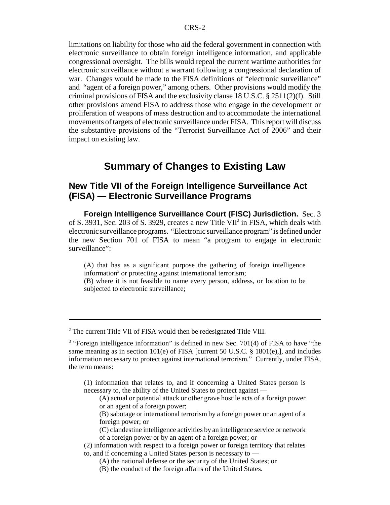limitations on liability for those who aid the federal government in connection with electronic surveillance to obtain foreign intelligence information, and applicable congressional oversight. The bills would repeal the current wartime authorities for electronic surveillance without a warrant following a congressional declaration of war. Changes would be made to the FISA definitions of "electronic surveillance" and "agent of a foreign power," among others. Other provisions would modify the criminal provisions of FISA and the exclusivity clause 18 U.S.C. § 2511(2)(f). Still other provisions amend FISA to address those who engage in the development or proliferation of weapons of mass destruction and to accommodate the international movements of targets of electronic surveillance under FISA. This report will discuss the substantive provisions of the "Terrorist Surveillance Act of 2006" and their impact on existing law.

# **Summary of Changes to Existing Law**

### **New Title VII of the Foreign Intelligence Surveillance Act (FISA) — Electronic Surveillance Programs**

**Foreign Intelligence Surveillance Court (FISC) Jurisdiction.** Sec. 3 of S. 3931, Sec. 203 of S. 3929, creates a new Title VII<sup>2</sup> in FISA, which deals with electronic surveillance programs. "Electronic surveillance program" is defined under the new Section 701 of FISA to mean "a program to engage in electronic surveillance":

- (A) that has as a significant purpose the gathering of foreign intelligence information<sup>3</sup> or protecting against international terrorism;
- (B) where it is not feasible to name every person, address, or location to be subjected to electronic surveillance;

<sup>&</sup>lt;sup>2</sup> The current Title VII of FISA would then be redesignated Title VIII.

 $3$  "Foreign intelligence information" is defined in new Sec. 701(4) of FISA to have "the same meaning as in section  $101(e)$  of FISA [current 50 U.S.C. § 1801(e),], and includes information necessary to protect against international terrorism." Currently, under FISA, the term means:

<sup>(1)</sup> information that relates to, and if concerning a United States person is necessary to, the ability of the United States to protect against —

<sup>(</sup>A) actual or potential attack or other grave hostile acts of a foreign power or an agent of a foreign power;

<sup>(</sup>B) sabotage or international terrorism by a foreign power or an agent of a foreign power; or

<sup>(</sup>C) clandestine intelligence activities by an intelligence service or network of a foreign power or by an agent of a foreign power; or

<sup>(2)</sup> information with respect to a foreign power or foreign territory that relates to, and if concerning a United States person is necessary to —

<sup>(</sup>A) the national defense or the security of the United States; or

<sup>(</sup>B) the conduct of the foreign affairs of the United States.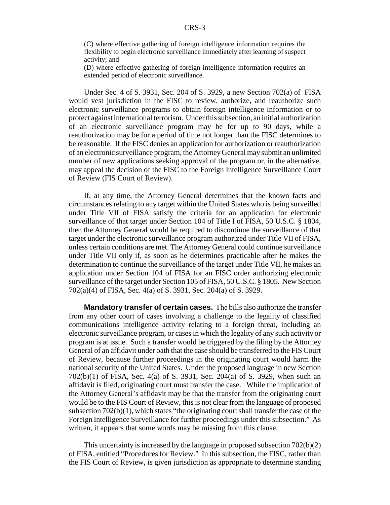(C) where effective gathering of foreign intelligence information requires the flexibility to begin electronic surveillance immediately after learning of suspect activity; and

(D) where effective gathering of foreign intelligence information requires an extended period of electronic surveillance.

Under Sec. 4 of S. 3931, Sec. 204 of S. 3929, a new Section 702(a) of FISA would vest jurisdiction in the FISC to review, authorize, and reauthorize such electronic surveillance programs to obtain foreign intelligence information or to protect against international terrorism. Under this subsection, an initial authorization of an electronic surveillance program may be for up to 90 days, while a reauthorization may be for a period of time not longer than the FISC determines to be reasonable. If the FISC denies an application for authorization or reauthorization of an electronic surveillance program, the Attorney General may submit an unlimited number of new applications seeking approval of the program or, in the alternative, may appeal the decision of the FISC to the Foreign Intelligence Surveillance Court of Review (FIS Court of Review).

If, at any time, the Attorney General determines that the known facts and circumstances relating to any target within the United States who is being surveilled under Title VII of FISA satisfy the criteria for an application for electronic surveillance of that target under Section 104 of Title I of FISA, 50 U.S.C. § 1804, then the Attorney General would be required to discontinue the surveillance of that target under the electronic surveillance program authorized under Title VII of FISA, unless certain conditions are met. The Attorney General could continue surveillance under Title VII only if, as soon as he determines practicable after he makes the determination to continue the surveillance of the target under Title VII, he makes an application under Section 104 of FISA for an FISC order authorizing electronic surveillance of the target under Section 105 of FISA, 50 U.S.C. § 1805. New Section 702(a)(4) of FISA, Sec. 4(a) of S. 3931, Sec. 204(a) of S. 3929.

**Mandatory transfer of certain cases.** The bills also authorize the transfer from any other court of cases involving a challenge to the legality of classified communications intelligence activity relating to a foreign threat, including an electronic surveillance program, or cases in which the legality of any such activity or program is at issue. Such a transfer would be triggered by the filing by the Attorney General of an affidavit under oath that the case should be transferred to the FIS Court of Review, because further proceedings in the originating court would harm the national security of the United States. Under the proposed language in new Section 702(b)(1) of FISA, Sec. 4(a) of S. 3931, Sec. 204(a) of S. 3929, when such an affidavit is filed, originating court must transfer the case. While the implication of the Attorney General's affidavit may be that the transfer from the originating court would be to the FIS Court of Review, this is not clear from the language of proposed subsection 702(b)(1), which states "the originating court shall transfer the case of the Foreign Intelligence Surveillance for further proceedings under this subsection." As written, it appears that some words may be missing from this clause.

This uncertainty is increased by the language in proposed subsection 702(b)(2) of FISA, entitled "Procedures for Review." In this subsection, the FISC, rather than the FIS Court of Review, is given jurisdiction as appropriate to determine standing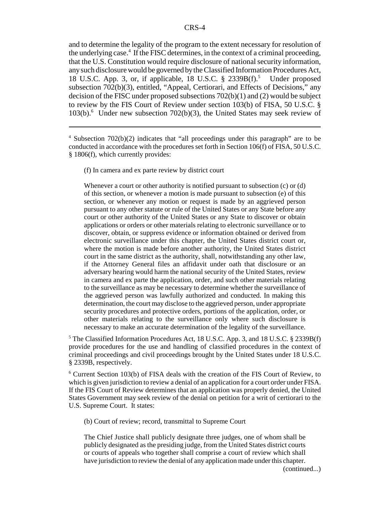and to determine the legality of the program to the extent necessary for resolution of the underlying case.<sup>4</sup> If the FISC determines, in the context of a criminal proceeding, that the U.S. Constitution would require disclosure of national security information, any such disclosure would be governed by the Classified Information Procedures Act, 18 U.S.C. App. 3, or, if applicable, 18 U.S.C. § 2339B(f).<sup>5</sup> Under proposed subsection 702(b)(3), entitled, "Appeal, Certiorari, and Effects of Decisions," any decision of the FISC under proposed subsections 702(b)(1) and (2) would be subject to review by the FIS Court of Review under section 103(b) of FISA, 50 U.S.C. § 103(b).<sup>6</sup> Under new subsection 702(b)(3), the United States may seek review of

(f) In camera and ex parte review by district court

Whenever a court or other authority is notified pursuant to subsection (c) or (d) of this section, or whenever a motion is made pursuant to subsection (e) of this section, or whenever any motion or request is made by an aggrieved person pursuant to any other statute or rule of the United States or any State before any court or other authority of the United States or any State to discover or obtain applications or orders or other materials relating to electronic surveillance or to discover, obtain, or suppress evidence or information obtained or derived from electronic surveillance under this chapter, the United States district court or, where the motion is made before another authority, the United States district court in the same district as the authority, shall, notwithstanding any other law, if the Attorney General files an affidavit under oath that disclosure or an adversary hearing would harm the national security of the United States, review in camera and ex parte the application, order, and such other materials relating to the surveillance as may be necessary to determine whether the surveillance of the aggrieved person was lawfully authorized and conducted. In making this determination, the court may disclose to the aggrieved person, under appropriate security procedures and protective orders, portions of the application, order, or other materials relating to the surveillance only where such disclosure is necessary to make an accurate determination of the legality of the surveillance.

<sup>5</sup> The Classified Information Procedures Act, 18 U.S.C. App. 3, and 18 U.S.C. § 2339B(f) provide procedures for the use and handling of classified procedures in the context of criminal proceedings and civil proceedings brought by the United States under 18 U.S.C. § 2339B, respectively.

6 Current Section 103(b) of FISA deals with the creation of the FIS Court of Review, to which is given jurisdiction to review a denial of an application for a court order under FISA. If the FIS Court of Review determines that an application was properly denied, the United States Government may seek review of the denial on petition for a writ of certiorari to the U.S. Supreme Court. It states:

(b) Court of review; record, transmittal to Supreme Court

The Chief Justice shall publicly designate three judges, one of whom shall be publicly designated as the presiding judge, from the United States district courts or courts of appeals who together shall comprise a court of review which shall have jurisdiction to review the denial of any application made under this chapter.

(continued...)

<sup>&</sup>lt;sup>4</sup> Subsection 702(b)(2) indicates that "all proceedings under this paragraph" are to be conducted in accordance with the procedures set forth in Section 106(f) of FISA, 50 U.S.C. § 1806(f), which currently provides: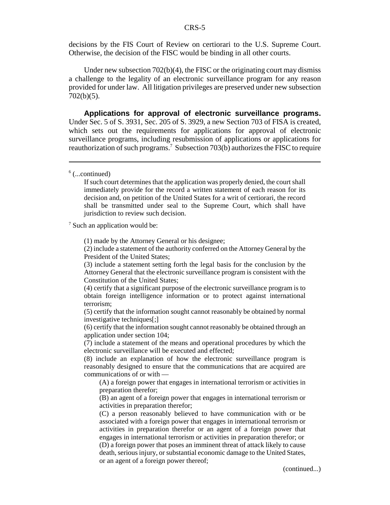decisions by the FIS Court of Review on certiorari to the U.S. Supreme Court. Otherwise, the decision of the FISC would be binding in all other courts.

Under new subsection 702(b)(4), the FISC or the originating court may dismiss a challenge to the legality of an electronic surveillance program for any reason provided for under law. All litigation privileges are preserved under new subsection 702(b)(5).

**Applications for approval of electronic surveillance programs.** Under Sec. 5 of S. 3931, Sec. 205 of S. 3929, a new Section 703 of FISA is created, which sets out the requirements for applications for approval of electronic surveillance programs, including resubmission of applications or applications for reauthorization of such programs.<sup>7</sup> Subsection 703(b) authorizes the FISC to require

If such court determines that the application was properly denied, the court shall immediately provide for the record a written statement of each reason for its decision and, on petition of the United States for a writ of certiorari, the record shall be transmitted under seal to the Supreme Court, which shall have jurisdiction to review such decision.

<sup>7</sup> Such an application would be:

(1) made by the Attorney General or his designee;

(2) include a statement of the authority conferred on the Attorney General by the President of the United States;

(3) include a statement setting forth the legal basis for the conclusion by the Attorney General that the electronic surveillance program is consistent with the Constitution of the United States;

(4) certify that a significant purpose of the electronic surveillance program is to obtain foreign intelligence information or to protect against international terrorism;

(5) certify that the information sought cannot reasonably be obtained by normal investigative techniques[;]

(6) certify that the information sought cannot reasonably be obtained through an application under section 104;

(7) include a statement of the means and operational procedures by which the electronic surveillance will be executed and effected;

(8) include an explanation of how the electronic surveillance program is reasonably designed to ensure that the communications that are acquired are communications of or with —

(A) a foreign power that engages in international terrorism or activities in preparation therefor;

(B) an agent of a foreign power that engages in international terrorism or activities in preparation therefor;

(C) a person reasonably believed to have communication with or be associated with a foreign power that engages in international terrorism or activities in preparation therefor or an agent of a foreign power that engages in international terrorism or activities in preparation therefor; or (D) a foreign power that poses an imminent threat of attack likely to cause death, serious injury, or substantial economic damage to the United States, or an agent of a foreign power thereof;

(continued...)

 $6$  (...continued)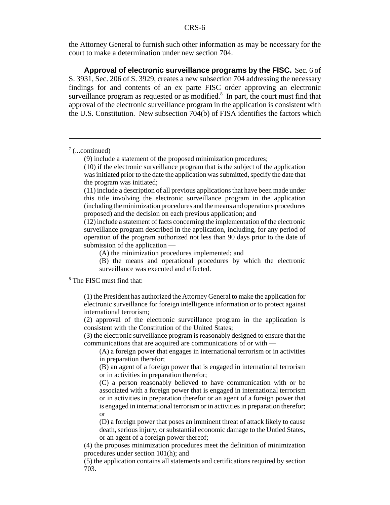the Attorney General to furnish such other information as may be necessary for the court to make a determination under new section 704.

**Approval of electronic surveillance programs by the FISC.** Sec. 6 of S. 3931, Sec. 206 of S. 3929, creates a new subsection 704 addressing the necessary findings for and contents of an ex parte FISC order approving an electronic surveillance program as requested or as modified. $8\,$  In part, the court must find that approval of the electronic surveillance program in the application is consistent with the U.S. Constitution. New subsection 704(b) of FISA identifies the factors which

 $7$  (...continued)

(11) include a description of all previous applications that have been made under this title involving the electronic surveillance program in the application (including the minimization procedures and the means and operations procedures proposed) and the decision on each previous application; and

(12) include a statement of facts concerning the implementation of the electronic surveillance program described in the application, including, for any period of operation of the program authorized not less than 90 days prior to the date of submission of the application —

(A) the minimization procedures implemented; and

(B) the means and operational procedures by which the electronic surveillance was executed and effected.

8 The FISC must find that:

(1) the President has authorized the Attorney General to make the application for electronic surveillance for foreign intelligence information or to protect against international terrorism;

(2) approval of the electronic surveillance program in the application is consistent with the Constitution of the United States;

(3) the electronic surveillance program is reasonably designed to ensure that the communications that are acquired are communications of or with —

(A) a foreign power that engages in international terrorism or in activities in preparation therefor;

(B) an agent of a foreign power that is engaged in international terrorism or in activities in preparation therefor;

(C) a person reasonably believed to have communication with or be associated with a foreign power that is engaged in international terrorism or in activities in preparation therefor or an agent of a foreign power that is engaged in international terrorism or in activities in preparation therefor; or

(D) a foreign power that poses an imminent threat of attack likely to cause death, serious injury, or substantial economic damage to the Untied States, or an agent of a foreign power thereof;

(4) the proposes minimization procedures meet the definition of minimization procedures under section 101(h); and

(5) the application contains all statements and certifications required by section 703.

<sup>(9)</sup> include a statement of the proposed minimization procedures;

<sup>(10)</sup> if the electronic surveillance program that is the subject of the application was initiated prior to the date the application was submitted, specify the date that the program was initiated;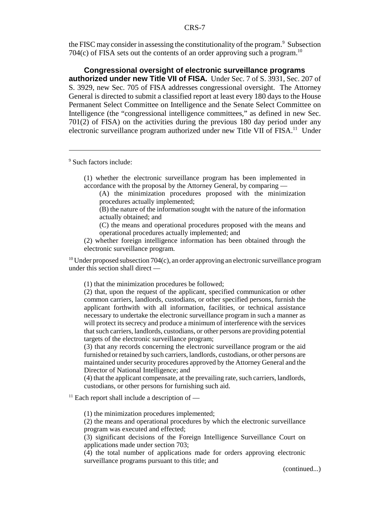the FISC may consider in assessing the constitutionality of the program. $\degree$  Subsection 704 $(c)$  of FISA sets out the contents of an order approving such a program.<sup>10</sup>

**Congressional oversight of electronic surveillance programs authorized under new Title VII of FISA.** Under Sec. 7 of S. 3931, Sec. 207 of S. 3929, new Sec. 705 of FISA addresses congressional oversight. The Attorney General is directed to submit a classified report at least every 180 days to the House Permanent Select Committee on Intelligence and the Senate Select Committee on Intelligence (the "congressional intelligence committees," as defined in new Sec. 701(2) of FISA) on the activities during the previous 180 day period under any electronic surveillance program authorized under new Title VII of FISA.<sup>11</sup> Under

9 Such factors include:

(1) whether the electronic surveillance program has been implemented in accordance with the proposal by the Attorney General, by comparing —

(A) the minimization procedures proposed with the minimization procedures actually implemented;

(B) the nature of the information sought with the nature of the information actually obtained; and

(C) the means and operational procedures proposed with the means and operational procedures actually implemented; and

(2) whether foreign intelligence information has been obtained through the electronic surveillance program.

<sup>10</sup> Under proposed subsection 704(c), an order approving an electronic surveillance program under this section shall direct —

(1) that the minimization procedures be followed;

(2) that, upon the request of the applicant, specified communication or other common carriers, landlords, custodians, or other specified persons, furnish the applicant forthwith with all information, facilities, or technical assistance necessary to undertake the electronic surveillance program in such a manner as will protect its secrecy and produce a minimum of interference with the services that such carriers, landlords, custodians, or other persons are providing potential targets of the electronic surveillance program;

(3) that any records concerning the electronic surveillance program or the aid furnished or retained by such carriers, landlords, custodians, or other persons are maintained under security procedures approved by the Attorney General and the Director of National Intelligence; and

(4) that the applicant compensate, at the prevailing rate, such carriers, landlords, custodians, or other persons for furnishing such aid.

 $11$  Each report shall include a description of —

(1) the minimization procedures implemented;

(2) the means and operational procedures by which the electronic surveillance program was executed and effected;

(3) significant decisions of the Foreign Intelligence Surveillance Court on applications made under section 703;

(4) the total number of applications made for orders approving electronic surveillance programs pursuant to this title; and

(continued...)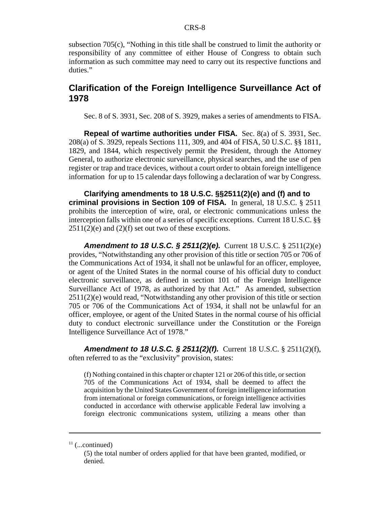subsection 705(c), "Nothing in this title shall be construed to limit the authority or responsibility of any committee of either House of Congress to obtain such information as such committee may need to carry out its respective functions and duties."

#### **Clarification of the Foreign Intelligence Surveillance Act of 1978**

Sec. 8 of S. 3931, Sec. 208 of S. 3929, makes a series of amendments to FISA.

**Repeal of wartime authorities under FISA.** Sec. 8(a) of S. 3931, Sec. 208(a) of S. 3929, repeals Sections 111, 309, and 404 of FISA, 50 U.S.C. §§ 1811, 1829, and 1844, which respectively permit the President, through the Attorney General, to authorize electronic surveillance, physical searches, and the use of pen register or trap and trace devices, without a court order to obtain foreign intelligence information for up to 15 calendar days following a declaration of war by Congress.

**Clarifying amendments to 18 U.S.C. §§2511(2)(e) and (f) and to criminal provisions in Section 109 of FISA.** In general, 18 U.S.C. § 2511 prohibits the interception of wire, oral, or electronic communications unless the interception falls within one of a series of specific exceptions. Current 18 U.S.C. §§  $2511(2)(e)$  and  $(2)(f)$  set out two of these exceptions.

*Amendment to 18 U.S.C. § 2511(2)(e).* Current 18 U.S.C. § 2511(2)(e) provides, "Notwithstanding any other provision of this title or section 705 or 706 of the Communications Act of 1934, it shall not be unlawful for an officer, employee, or agent of the United States in the normal course of his official duty to conduct electronic surveillance, as defined in section 101 of the Foreign Intelligence Surveillance Act of 1978, as authorized by that Act." As amended, subsection 2511(2)(e) would read, "Notwithstanding any other provision of this title or section 705 or 706 of the Communications Act of 1934, it shall not be unlawful for an officer, employee, or agent of the United States in the normal course of his official duty to conduct electronic surveillance under the Constitution or the Foreign Intelligence Surveillance Act of 1978."

*Amendment to 18 U.S.C. § 2511(2)(f).* Current 18 U.S.C. § 2511(2)(f), often referred to as the "exclusivity" provision, states:

(f) Nothing contained in this chapter or chapter 121 or 206 of this title, or section 705 of the Communications Act of 1934, shall be deemed to affect the acquisition by the United States Government of foreign intelligence information from international or foreign communications, or foreign intelligence activities conducted in accordance with otherwise applicable Federal law involving a foreign electronic communications system, utilizing a means other than

 $11$  (...continued)

<sup>(5)</sup> the total number of orders applied for that have been granted, modified, or denied.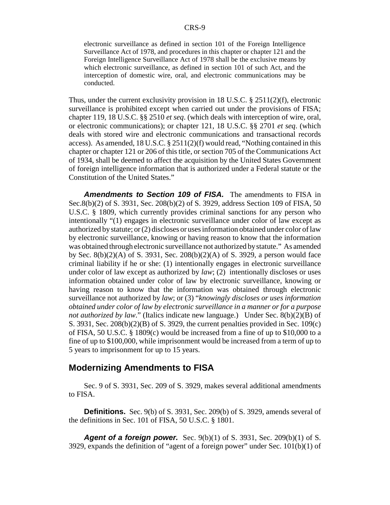electronic surveillance as defined in section 101 of the Foreign Intelligence Surveillance Act of 1978, and procedures in this chapter or chapter 121 and the Foreign Intelligence Surveillance Act of 1978 shall be the exclusive means by which electronic surveillance, as defined in section 101 of such Act, and the interception of domestic wire, oral, and electronic communications may be conducted.

Thus, under the current exclusivity provision in 18 U.S.C. § 2511(2)(f), electronic surveillance is prohibited except when carried out under the provisions of FISA; chapter 119, 18 U.S.C. §§ 2510 *et seq*. (which deals with interception of wire, oral, or electronic communications); or chapter 121, 18 U.S.C. §§ 2701 *et seq*. (which deals with stored wire and electronic communications and transactional records access). As amended,  $18 \text{ U.S.C.} \& 2511(2)(f)$  would read, "Nothing contained in this chapter or chapter 121 or 206 of this title, or section 705 of the Communications Act of 1934, shall be deemed to affect the acquisition by the United States Government of foreign intelligence information that is authorized under a Federal statute or the Constitution of the United States."

*Amendments to Section 109 of FISA.* The amendments to FISA in Sec.8(b)(2) of S. 3931, Sec. 208(b)(2) of S. 3929, address Section 109 of FISA, 50 U.S.C. § 1809, which currently provides criminal sanctions for any person who intentionally "(1) engages in electronic surveillance under color of law except as authorized by statute; or (2) discloses or uses information obtained under color of law by electronic surveillance, knowing or having reason to know that the information was obtained through electronic surveillance not authorized by statute." As amended by Sec.  $8(b)(2)(A)$  of S. 3931, Sec.  $208(b)(2)(A)$  of S. 3929, a person would face criminal liability if he or she: (1) intentionally engages in electronic surveillance under color of law except as authorized by *law*; (2) intentionally discloses or uses information obtained under color of law by electronic surveillance, knowing or having reason to know that the information was obtained through electronic surveillance not authorized by *law*; or (3) "*knowingly discloses or uses information obtained under color of law by electronic surveillance in a manner or for a purpose not authorized by law*." (Italics indicate new language.) Under Sec. 8(b)(2)(B) of S. 3931, Sec. 208(b)(2)(B) of S. 3929, the current penalties provided in Sec. 109(c) of FISA, 50 U.S.C. § 1809(c) would be increased from a fine of up to \$10,000 to a fine of up to \$100,000, while imprisonment would be increased from a term of up to 5 years to imprisonment for up to 15 years.

#### **Modernizing Amendments to FISA**

Sec. 9 of S. 3931, Sec. 209 of S. 3929, makes several additional amendments to FISA.

**Definitions.** Sec. 9(b) of S. 3931, Sec. 209(b) of S. 3929, amends several of the definitions in Sec. 101 of FISA, 50 U.S.C. § 1801.

*Agent of a foreign power.* Sec. 9(b)(1) of S. 3931, Sec. 209(b)(1) of S. 3929, expands the definition of "agent of a foreign power" under Sec. 101(b)(1) of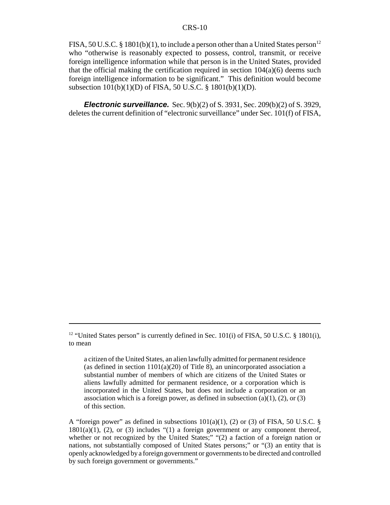FISA, 50 U.S.C. § 1801(b)(1), to include a person other than a United States person<sup>12</sup> who "otherwise is reasonably expected to possess, control, transmit, or receive foreign intelligence information while that person is in the United States, provided that the official making the certification required in section  $104(a)(6)$  deems such foreign intelligence information to be significant." This definition would become subsection 101(b)(1)(D) of FISA, 50 U.S.C. § 1801(b)(1)(D).

*Electronic surveillance.* Sec. 9(b)(2) of S. 3931, Sec. 209(b)(2) of S. 3929, deletes the current definition of "electronic surveillance" under Sec. 101(f) of FISA,

A "foreign power" as defined in subsections  $101(a)(1)$ , (2) or (3) of FISA, 50 U.S.C. §  $1801(a)(1)$ , (2), or (3) includes "(1) a foreign government or any component thereof, whether or not recognized by the United States;" "(2) a faction of a foreign nation or nations, not substantially composed of United States persons;" or "(3) an entity that is openly acknowledged by a foreign government or governments to be directed and controlled by such foreign government or governments."

<sup>&</sup>lt;sup>12</sup> "United States person" is currently defined in Sec. 101(i) of FISA, 50 U.S.C. § 1801(i), to mean

a citizen of the United States, an alien lawfully admitted for permanent residence (as defined in section  $1101(a)(20)$  of Title 8), an unincorporated association a substantial number of members of which are citizens of the United States or aliens lawfully admitted for permanent residence, or a corporation which is incorporated in the United States, but does not include a corporation or an association which is a foreign power, as defined in subsection  $(a)(1)$ ,  $(2)$ , or  $(3)$ of this section.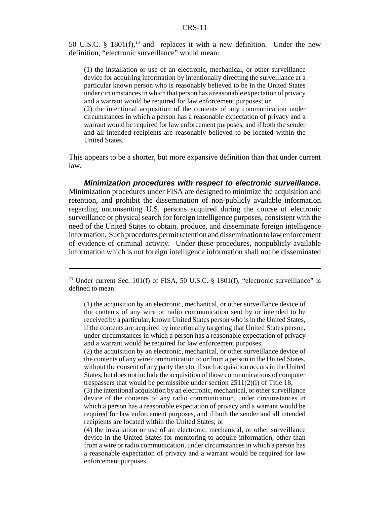50 U.S.C. § 1801 $(f)$ ,<sup>13</sup> and replaces it with a new definition. Under the new definition, "electronic surveillance" would mean:

(1) the installation or use of an electronic, mechanical, or other surveillance device for acquiring information by intentionally directing the surveillance at a particular known person who is reasonably believed to be in the United States under circumstances in which that person has a reasonable expectation of privacy and a warrant would be required for law enforcement purposes; or

(2) the intentional acquisition of the contents of any communication under circumstances in which a person has a reasonable expectation of privacy and a warrant would be required for law enforcement purposes, and if both the sender and all intended recipients are reasonably believed to be located within the United States.

This appears to be a shorter, but more expansive definition than that under current law.

*Minimization procedures with respect to electronic surveillance.* Minimization procedures under FISA are designed to minimize the acquisition and retention, and prohibit the dissemination of non-publicly available information regarding unconsenting U.S. persons acquired during the course of electronic surveillance or physical search for foreign intelligence purposes, consistent with the need of the United States to obtain, produce, and disseminate foreign intelligence information. Such procedures permit retention and dissemination to law enforcement of evidence of criminal activity. Under these procedures, nonpublicly available information which is not foreign intelligence information shall not be disseminated

(2) the acquisition by an electronic, mechanical, or other surveillance device of the contents of any wire communication to or from a person in the United States, without the consent of any party thereto, if such acquisition occurs in the United States, but does not include the acquisition of those communications of computer trespassers that would be permissible under section 2511(2)(i) of Title 18;

(4) the installation or use of an electronic, mechanical, or other surveillance device in the United States for monitoring to acquire information, other than from a wire or radio communication, under circumstances in which a person has a reasonable expectation of privacy and a warrant would be required for law enforcement purposes.

<sup>&</sup>lt;sup>13</sup> Under current Sec. 101(f) of FISA, 50 U.S.C. § 1801(f), "electronic surveillance" is defined to mean:

<sup>(1)</sup> the acquisition by an electronic, mechanical, or other surveillance device of the contents of any wire or radio communication sent by or intended to be received by a particular, known United States person who is in the United States, if the contents are acquired by intentionally targeting that United States person, under circumstances in which a person has a reasonable expectation of privacy and a warrant would be required for law enforcement purposes;

<sup>(3)</sup> the intentional acquisition by an electronic, mechanical, or other surveillance device of the contents of any radio communication, under circumstances in which a person has a reasonable expectation of privacy and a warrant would be required for law enforcement purposes, and if both the sender and all intended recipients are located within the United States; or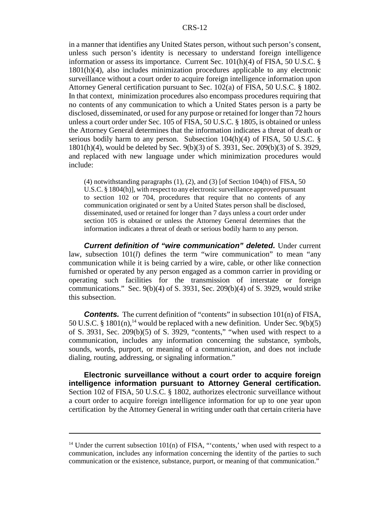in a manner that identifies any United States person, without such person's consent, unless such person's identity is necessary to understand foreign intelligence information or assess its importance. Current Sec.  $101(h)(4)$  of FISA, 50 U.S.C. § 1801(h)(4), also includes minimization procedures applicable to any electronic surveillance without a court order to acquire foreign intelligence information upon Attorney General certification pursuant to Sec. 102(a) of FISA, 50 U.S.C. § 1802. In that context, minimization procedures also encompass procedures requiring that no contents of any communication to which a United States person is a party be disclosed, disseminated, or used for any purpose or retained for longer than 72 hours unless a court order under Sec. 105 of FISA, 50 U.S.C. § 1805, is obtained or unless the Attorney General determines that the information indicates a threat of death or serious bodily harm to any person. Subsection 104(h)(4) of FISA, 50 U.S.C. § 1801(h)(4), would be deleted by Sec. 9(b)(3) of S. 3931, Sec. 209(b)(3) of S. 3929, and replaced with new language under which minimization procedures would include:

 $(4)$  notwithstanding paragraphs  $(1)$ ,  $(2)$ , and  $(3)$  [of Section 104(h) of FISA, 50 U.S.C. § 1804(h)], with respect to any electronic surveillance approved pursuant to section 102 or 704, procedures that require that no contents of any communication originated or sent by a United States person shall be disclosed, disseminated, used or retained for longer than 7 days unless a court order under section 105 is obtained or unless the Attorney General determines that the information indicates a threat of death or serious bodily harm to any person.

*Current definition of "wire communication" deleted.* Under current law, subsection 101(*l*) defines the term "wire communication" to mean "any communication while it is being carried by a wire, cable, or other like connection furnished or operated by any person engaged as a common carrier in providing or operating such facilities for the transmission of interstate or foreign communications." Sec. 9(b)(4) of S. 3931, Sec. 209(b)(4) of S. 3929, would strike this subsection.

**Contents.** The current definition of "contents" in subsection 101(n) of FISA, 50 U.S.C. § 1801 $(n)$ ,<sup>14</sup> would be replaced with a new definition. Under Sec. 9(b)(5) of S. 3931, Sec. 209(b)(5) of S. 3929, "contents," "when used with respect to a communication, includes any information concerning the substance, symbols, sounds, words, purport, or meaning of a communication, and does not include dialing, routing, addressing, or signaling information."

**Electronic surveillance without a court order to acquire foreign intelligence information pursuant to Attorney General certification.** Section 102 of FISA, 50 U.S.C. § 1802, authorizes electronic surveillance without a court order to acquire foreign intelligence information for up to one year upon certification by the Attorney General in writing under oath that certain criteria have

 $14$  Under the current subsection 101(n) of FISA, "'contents,' when used with respect to a communication, includes any information concerning the identity of the parties to such communication or the existence, substance, purport, or meaning of that communication."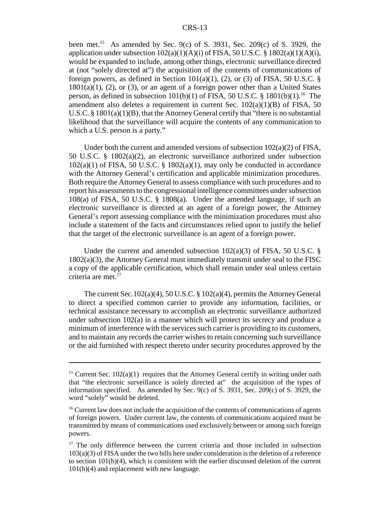#### CRS-13

been met.<sup>15</sup> As amended by Sec. 9(c) of S. 3931, Sec. 209(c) of S. 3929, the application under subsection  $102(a)(1)(A)(i)$  of FISA, 50 U.S.C. § 1802(a)(1)(A)(i), would be expanded to include, among other things, electronic surveillance directed at (not "solely directed at") the acquisition of the contents of communications of foreign powers, as defined in Section 101(a)(1), (2), or (3) of FISA, 50 U.S.C.  $\S$  $1801(a)(1)$ , (2), or (3), or an agent of a foreign power other than a United States person, as defined in subsection  $101(b)(1)$  of FISA, 50 U.S.C. § 1801(b)(1).<sup>16</sup> The amendment also deletes a requirement in current Sec.  $102(a)(1)(B)$  of FISA, 50 U.S.C. §  $1801(a)(1)(B)$ , that the Attorney General certify that "there is no substantial likelihood that the surveillance will acquire the contents of any communication to which a U.S. person is a party."

Under both the current and amended versions of subsection 102(a)(2) of FISA, 50 U.S.C. § 1802(a)(2), an electronic surveillance authorized under subsection  $102(a)(1)$  of FISA, 50 U.S.C. § 1802(a)(1), may only be conducted in accordance with the Attorney General's certification and applicable minimization procedures. Both require the Attorney General to assess compliance with such procedures and to report his assessments to the congressional intelligence committees under subsection 108(a) of FISA, 50 U.S.C. § 1808(a). Under the amended language, if such an electronic surveillance is directed at an agent of a foreign power, the Attorney General's report assessing compliance with the minimization procedures must also include a statement of the facts and circumstances relied upon to justify the belief that the target of the electronic surveillance is an agent of a foreign power.

Under the current and amended subsection  $102(a)(3)$  of FISA, 50 U.S.C. § 1802(a)(3), the Attorney General must immediately transmit under seal to the FISC a copy of the applicable certification, which shall remain under seal unless certain criteria are met. $<sup>1</sup>$ </sup>

The current Sec.102(a)(4), 50 U.S.C. § 102(a)(4), permits the Attorney General to direct a specified common carrier to provide any information, facilities, or technical assistance necessary to accomplish an electronic surveillance authorized under subsection  $102(a)$  in a manner which will protect its secrecy and produce a minimum of interference with the services such carrier is providing to its customers, and to maintain any records the carrier wishes to retain concerning such surveillance or the aid furnished with respect thereto under security procedures approved by the

<sup>&</sup>lt;sup>15</sup> Current Sec.  $102(a)(1)$  requires that the Attorney General certify in writing under oath that "the electronic surveillance is solely directed at" the acquisition of the types of information specified. As amended by Sec. 9(c) of S. 3931, Sec. 209(c) of S. 3929, the word "solely" would be deleted.

 $16$  Current law does not include the acquisition of the contents of communications of agents of foreign powers. Under current law, the contents of communications acquired must be transmitted by means of communications used exclusively between or among such foreign powers.

<sup>&</sup>lt;sup>17</sup> The only difference between the current criteria and those included in subsection 103(a)(3) of FISA under the two bills here under consideration is the deletion of a reference to section  $101(h)(4)$ , which is consistent with the earlier discussed deletion of the current 101(h)(4) and replacement with new language.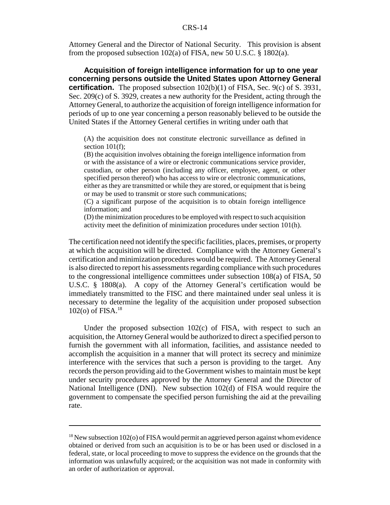Attorney General and the Director of National Security. This provision is absent from the proposed subsection 102(a) of FISA, new 50 U.S.C. § 1802(a).

**Acquisition of foreign intelligence information for up to one year concerning persons outside the United States upon Attorney General certification.** The proposed subsection 102(b)(1) of FISA, Sec. 9(c) of S. 3931, Sec. 209(c) of S. 3929, creates a new authority for the President, acting through the Attorney General, to authorize the acquisition of foreign intelligence information for periods of up to one year concerning a person reasonably believed to be outside the United States if the Attorney General certifies in writing under oath that

(A) the acquisition does not constitute electronic surveillance as defined in section 101(f);

(B) the acquisition involves obtaining the foreign intelligence information from or with the assistance of a wire or electronic communications service provider, custodian, or other person (including any officer, employee, agent, or other specified person thereof) who has access to wire or electronic communications, either as they are transmitted or while they are stored, or equipment that is being or may be used to transmit or store such communications;

(C) a significant purpose of the acquisition is to obtain foreign intelligence information; and

(D) the minimization procedures to be employed with respect to such acquisition activity meet the definition of minimization procedures under section 101(h).

The certification need not identify the specific facilities, places, premises, or property at which the acquisition will be directed. Compliance with the Attorney General's certification and minimization procedures would be required. The Attorney General is also directed to report his assessments regarding compliance with such procedures to the congressional intelligence committees under subsection 108(a) of FISA, 50 U.S.C. § 1808(a). A copy of the Attorney General's certification would be immediately transmitted to the FISC and there maintained under seal unless it is necessary to determine the legality of the acquisition under proposed subsection 102(o) of FISA. $^{18}$ 

Under the proposed subsection 102(c) of FISA, with respect to such an acquisition, the Attorney General would be authorized to direct a specified person to furnish the government with all information, facilities, and assistance needed to accomplish the acquisition in a manner that will protect its secrecy and minimize interference with the services that such a person is providing to the target. Any records the person providing aid to the Government wishes to maintain must be kept under security procedures approved by the Attorney General and the Director of National Intelligence (DNI). New subsection 102(d) of FISA would require the government to compensate the specified person furnishing the aid at the prevailing rate.

<sup>&</sup>lt;sup>18</sup> New subsection 102(o) of FISA would permit an aggrieved person against whom evidence obtained or derived from such an acquisition is to be or has been used or disclosed in a federal, state, or local proceeding to move to suppress the evidence on the grounds that the information was unlawfully acquired; or the acquisition was not made in conformity with an order of authorization or approval.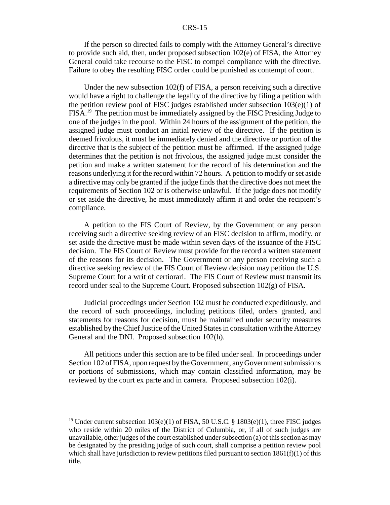#### CRS-15

If the person so directed fails to comply with the Attorney General's directive to provide such aid, then, under proposed subsection 102(e) of FISA, the Attorney General could take recourse to the FISC to compel compliance with the directive. Failure to obey the resulting FISC order could be punished as contempt of court.

Under the new subsection 102(f) of FISA, a person receiving such a directive would have a right to challenge the legality of the directive by filing a petition with the petition review pool of FISC judges established under subsection 103(e)(1) of FISA.19 The petition must be immediately assigned by the FISC Presiding Judge to one of the judges in the pool. Within 24 hours of the assignment of the petition, the assigned judge must conduct an initial review of the directive. If the petition is deemed frivolous, it must be immediately denied and the directive or portion of the directive that is the subject of the petition must be affirmed. If the assigned judge determines that the petition is not frivolous, the assigned judge must consider the petition and make a written statement for the record of his determination and the reasons underlying it for the record within 72 hours. A petition to modify or set aside a directive may only be granted if the judge finds that the directive does not meet the requirements of Section 102 or is otherwise unlawful. If the judge does not modify or set aside the directive, he must immediately affirm it and order the recipient's compliance.

A petition to the FIS Court of Review, by the Government or any person receiving such a directive seeking review of an FISC decision to affirm, modify, or set aside the directive must be made within seven days of the issuance of the FISC decision. The FIS Court of Review must provide for the record a written statement of the reasons for its decision. The Government or any person receiving such a directive seeking review of the FIS Court of Review decision may petition the U.S. Supreme Court for a writ of certiorari. The FIS Court of Review must transmit its record under seal to the Supreme Court. Proposed subsection 102(g) of FISA.

Judicial proceedings under Section 102 must be conducted expeditiously, and the record of such proceedings, including petitions filed, orders granted, and statements for reasons for decision, must be maintained under security measures established by the Chief Justice of the United States in consultation with the Attorney General and the DNI. Proposed subsection 102(h).

All petitions under this section are to be filed under seal. In proceedings under Section 102 of FISA, upon request by the Government, any Government submissions or portions of submissions, which may contain classified information, may be reviewed by the court ex parte and in camera. Proposed subsection 102(i).

<sup>&</sup>lt;sup>19</sup> Under current subsection 103(e)(1) of FISA, 50 U.S.C. § 1803(e)(1), three FISC judges who reside within 20 miles of the District of Columbia, or, if all of such judges are unavailable, other judges of the court established under subsection (a) of this section as may be designated by the presiding judge of such court, shall comprise a petition review pool which shall have jurisdiction to review petitions filed pursuant to section  $1861(f)(1)$  of this title.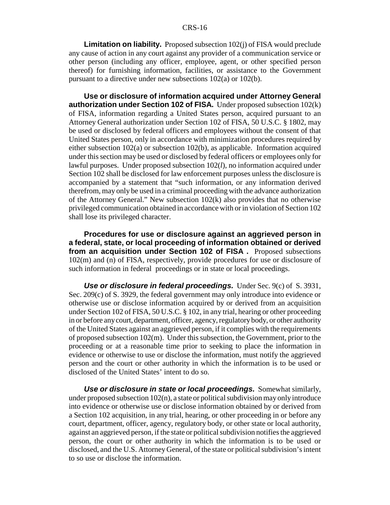#### CRS-16

**Limitation on liability.** Proposed subsection 102(j) of FISA would preclude any cause of action in any court against any provider of a communication service or other person (including any officer, employee, agent, or other specified person thereof) for furnishing information, facilities, or assistance to the Government pursuant to a directive under new subsections 102(a) or 102(b).

**Use or disclosure of information acquired under Attorney General authorization under Section 102 of FISA.** Under proposed subsection 102(k) of FISA, information regarding a United States person, acquired pursuant to an Attorney General authorization under Section 102 of FISA, 50 U.S.C. § 1802, may be used or disclosed by federal officers and employees without the consent of that United States person, only in accordance with minimization procedures required by either subsection 102(a) or subsection 102(b), as applicable. Information acquired under this section may be used or disclosed by federal officers or employees only for lawful purposes. Under proposed subsection 102(*l*), no information acquired under Section 102 shall be disclosed for law enforcement purposes unless the disclosure is accompanied by a statement that "such information, or any information derived therefrom, may only be used in a criminal proceeding with the advance authorization of the Attorney General." New subsection 102(k) also provides that no otherwise privileged communication obtained in accordance with or in violation of Section 102 shall lose its privileged character.

**Procedures for use or disclosure against an aggrieved person in a federal, state, or local proceeding of information obtained or derived from an acquisition under Section 102 of FISA .** Proposed subsections 102(m) and (n) of FISA, respectively, provide procedures for use or disclosure of such information in federal proceedings or in state or local proceedings.

*Use or disclosure in federal proceedings.* Under Sec. 9(c) of S. 3931, Sec. 209(c) of S. 3929, the federal government may only introduce into evidence or otherwise use or disclose information acquired by or derived from an acquisition under Section 102 of FISA, 50 U.S.C. § 102, in any trial, hearing or other proceeding in or before any court, department, officer, agency, regulatory body, or other authority of the United States against an aggrieved person, if it complies with the requirements of proposed subsection 102(m). Under this subsection, the Government, prior to the proceeding or at a reasonable time prior to seeking to place the information in evidence or otherwise to use or disclose the information, must notify the aggrieved person and the court or other authority in which the information is to be used or disclosed of the United States' intent to do so.

*Use or disclosure in state or local proceedings.* Somewhat similarly, under proposed subsection  $102(n)$ , a state or political subdivision may only introduce into evidence or otherwise use or disclose information obtained by or derived from a Section 102 acquisition, in any trial, hearing, or other proceeding in or before any court, department, officer, agency, regulatory body, or other state or local authority, against an aggrieved person, if the state or political subdivision notifies the aggrieved person, the court or other authority in which the information is to be used or disclosed, and the U.S. Attorney General, of the state or political subdivision's intent to so use or disclose the information.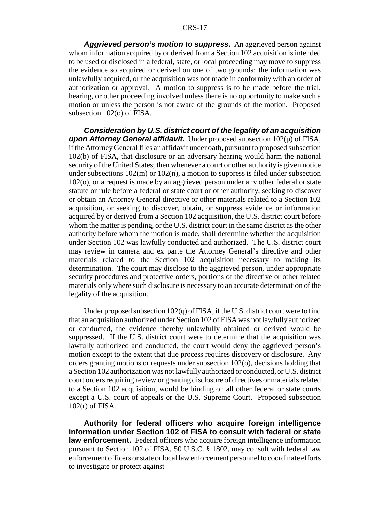*Aggrieved person's motion to suppress.* An aggrieved person against whom information acquired by or derived from a Section 102 acquisition is intended to be used or disclosed in a federal, state, or local proceeding may move to suppress the evidence so acquired or derived on one of two grounds: the information was unlawfully acquired, or the acquisition was not made in conformity with an order of authorization or approval. A motion to suppress is to be made before the trial, hearing, or other proceeding involved unless there is no opportunity to make such a motion or unless the person is not aware of the grounds of the motion. Proposed subsection 102(o) of FISA.

*Consideration by U.S. district court of the legality of an acquisition upon Attorney General affidavit.* Under proposed subsection 102(p) of FISA, if the Attorney General files an affidavit under oath, pursuant to proposed subsection 102(b) of FISA, that disclosure or an adversary hearing would harm the national security of the United States; then whenever a court or other authority is given notice under subsections  $102(m)$  or  $102(n)$ , a motion to suppress is filed under subsection 102(o), or a request is made by an aggrieved person under any other federal or state statute or rule before a federal or state court or other authority, seeking to discover or obtain an Attorney General directive or other materials related to a Section 102 acquisition, or seeking to discover, obtain, or suppress evidence or information acquired by or derived from a Section 102 acquisition, the U.S. district court before whom the matter is pending, or the U.S. district court in the same district as the other authority before whom the motion is made, shall determine whether the acquisition under Section 102 was lawfully conducted and authorized. The U.S. district court may review in camera and ex parte the Attorney General's directive and other materials related to the Section 102 acquisition necessary to making its determination. The court may disclose to the aggrieved person, under appropriate security procedures and protective orders, portions of the directive or other related materials only where such disclosure is necessary to an accurate determination of the legality of the acquisition.

Under proposed subsection 102(q) of FISA, if the U.S. district court were to find that an acquisition authorized under Section 102 of FISA was not lawfully authorized or conducted, the evidence thereby unlawfully obtained or derived would be suppressed. If the U.S. district court were to determine that the acquisition was lawfully authorized and conducted, the court would deny the aggrieved person's motion except to the extent that due process requires discovery or disclosure. Any orders granting motions or requests under subsection 102(o), decisions holding that a Section 102 authorization was not lawfully authorized or conducted, or U.S. district court orders requiring review or granting disclosure of directives or materials related to a Section 102 acquisition, would be binding on all other federal or state courts except a U.S. court of appeals or the U.S. Supreme Court. Proposed subsection 102(r) of FISA.

**Authority for federal officers who acquire foreign intelligence information under Section 102 of FISA to consult with federal or state law enforcement.** Federal officers who acquire foreign intelligence information pursuant to Section 102 of FISA, 50 U.S.C. § 1802, may consult with federal law enforcement officers or state or local law enforcement personnel to coordinate efforts to investigate or protect against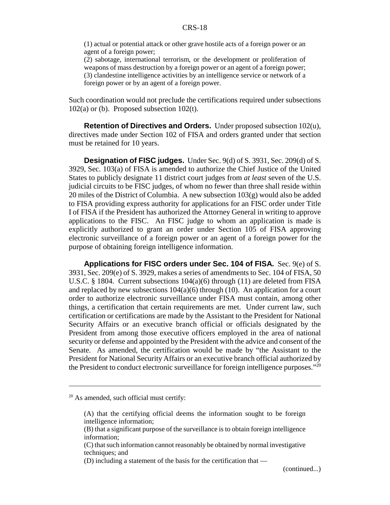(1) actual or potential attack or other grave hostile acts of a foreign power or an agent of a foreign power;

(2) sabotage, international terrorism, or the development or proliferation of weapons of mass destruction by a foreign power or an agent of a foreign power; (3) clandestine intelligence activities by an intelligence service or network of a foreign power or by an agent of a foreign power.

Such coordination would not preclude the certifications required under subsections  $102(a)$  or (b). Proposed subsection  $102(t)$ .

**Retention of Directives and Orders.** Under proposed subsection 102(u), directives made under Section 102 of FISA and orders granted under that section must be retained for 10 years.

**Designation of FISC judges.** Under Sec. 9(d) of S. 3931, Sec. 209(d) of S. 3929, Sec. 103(a) of FISA is amended to authorize the Chief Justice of the United States to publicly designate 11 district court judges from *at least* seven of the U.S. judicial circuits to be FISC judges, of whom no fewer than three shall reside within 20 miles of the District of Columbia. A new subsection 103(g) would also be added to FISA providing express authority for applications for an FISC order under Title I of FISA if the President has authorized the Attorney General in writing to approve applications to the FISC. An FISC judge to whom an application is made is explicitly authorized to grant an order under Section 105 of FISA approving electronic surveillance of a foreign power or an agent of a foreign power for the purpose of obtaining foreign intelligence information.

**Applications for FISC orders under Sec. 104 of FISA.** Sec. 9(e) of S. 3931, Sec. 209(e) of S. 3929, makes a series of amendments to Sec. 104 of FISA, 50 U.S.C. § 1804. Current subsections  $104(a)(6)$  through (11) are deleted from FISA and replaced by new subsections  $104(a)(6)$  through (10). An application for a court order to authorize electronic surveillance under FISA must contain, among other things, a certification that certain requirements are met. Under current law, such certification or certifications are made by the Assistant to the President for National Security Affairs or an executive branch official or officials designated by the President from among those executive officers employed in the area of national security or defense and appointed by the President with the advice and consent of the Senate. As amended, the certification would be made by "the Assistant to the President for National Security Affairs or an executive branch official authorized by the President to conduct electronic surveillance for foreign intelligence purposes." $^{20}$ 

 $20$  As amended, such official must certify:

<sup>(</sup>A) that the certifying official deems the information sought to be foreign intelligence information;

<sup>(</sup>B) that a significant purpose of the surveillance is to obtain foreign intelligence information;

<sup>(</sup>C) that such information cannot reasonably be obtained by normal investigative techniques; and

<sup>(</sup>D) including a statement of the basis for the certification that —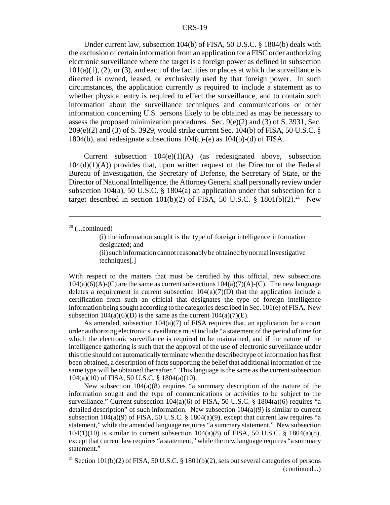#### CRS-19

Under current law, subsection 104(b) of FISA, 50 U.S.C. § 1804(b) deals with the exclusion of certain information from an application for a FISC order authorizing electronic surveillance where the target is a foreign power as defined in subsection  $101(a)(1)$ , (2), or (3), and each of the facilities or places at which the surveillance is directed is owned, leased, or exclusively used by that foreign power. In such circumstances, the application currently is required to include a statement as to whether physical entry is required to effect the surveillance, and to contain such information about the surveillance techniques and communications or other information concerning U.S. persons likely to be obtained as may be necessary to assess the proposed minimization procedures. Sec.  $9(e)(2)$  and (3) of S. 3931, Sec. 209(e)(2) and (3) of S. 3929, would strike current Sec. 104(b) of FISA, 50 U.S.C. § 1804(b), and redesignate subsections 104(c)-(e) as 104(b)-(d) of FISA.

Current subsection 104(e)(1)(A) (as redesignated above, subsection  $104(d)(1)(A)$  provides that, upon written request of the Director of the Federal Bureau of Investigation, the Secretary of Defense, the Secretary of State, or the Director of National Intelligence, the Attorney General shall personally review under subsection 104(a), 50 U.S.C. § 1804(a) an application under that subsection for a target described in section 101(b)(2) of FISA, 50 U.S.C. § 1801(b)(2).<sup>21</sup> New

(i) the information sought is the type of foreign intelligence information designated; and (ii) such information cannot reasonably be obtained by normal investigative techniques[.]

With respect to the matters that must be certified by this official, new subsections  $104(a)(6)(A)-(C)$  are the same as current subsections  $104(a)(7)(A)-(C)$ . The new language deletes a requirement in current subsection  $104(a)(7)(D)$  that the application include a certification from such an official that designates the type of foreign intelligence information being sought according to the categories described in Sec. 101(e) of FISA. New subsection  $104(a)(6)(D)$  is the same as the current  $104(a)(7)(E)$ .

As amended, subsection  $104(a)(7)$  of FISA requires that, an application for a court order authorizing electronic surveillance must include "a statement of the period of time for which the electronic surveillance is required to be maintained, and if the nature of the intelligence gathering is such that the approval of the use of electronic surveillance under this title should not automatically terminate when the described type of information has first been obtained, a description of facts supporting the belief that additional information of the same type will be obtained thereafter." This language is the same as the current subsection 104(a)(10) of FISA, 50 U.S.C. § 1804(a)(10).

New subsection 104(a)(8) requires "a summary description of the nature of the information sought and the type of communications or activities to be subject to the surveillance." Current subsection  $104(a)(6)$  of FISA, 50 U.S.C. § 1804(a)(6) requires "a detailed description" of such information. New subsection  $104(a)(9)$  is similar to current subsection  $104(a)(9)$  of FISA, 50 U.S.C. § 1804(a)(9), except that current law requires "a statement," while the amended language requires "a summary statement." New subsection 104(1)(10) is similar to current subsection  $104(a)(8)$  of FISA, 50 U.S.C. § 1804(a)(8), except that current law requires "a statement," while the new language requires "a summary statement."

<sup>21</sup> Section 101(b)(2) of FISA, 50 U.S.C. § 1801(b)(2), sets out several categories of persons (continued...)

 $20$  (...continued)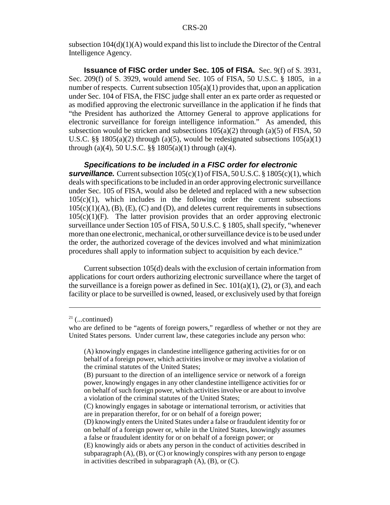subsection 104(d)(1)(A) would expand this list to include the Director of the Central Intelligence Agency.

**Issuance of FISC order under Sec. 105 of FISA.** Sec. 9(f) of S. 3931, Sec. 209(f) of S. 3929, would amend Sec. 105 of FISA, 50 U.S.C. § 1805, in a number of respects. Current subsection  $105(a)(1)$  provides that, upon an application under Sec. 104 of FISA, the FISC judge shall enter an ex parte order as requested or as modified approving the electronic surveillance in the application if he finds that "the President has authorized the Attorney General to approve applications for electronic surveillance for foreign intelligence information." As amended, this subsection would be stricken and subsections  $105(a)(2)$  through (a)(5) of FISA, 50 U.S.C. §§ 1805(a)(2) through (a)(5), would be redesignated subsections  $105(a)(1)$ through (a)(4), 50 U.S.C. §§  $1805(a)(1)$  through (a)(4).

#### *Specifications to be included in a FISC order for electronic*

**surveillance.** Current subsection  $105(c)(1)$  of FISA,  $50$  U.S.C. §  $1805(c)(1)$ , which deals with specifications to be included in an order approving electronic surveillance under Sec. 105 of FISA, would also be deleted and replaced with a new subsection  $105(c)(1)$ , which includes in the following order the current subsections  $105(c)(1)(A)$ ,  $(B)$ ,  $(E)$ ,  $(C)$  and  $(D)$ , and deletes current requirements in subsections  $105(c)(1)(F)$ . The latter provision provides that an order approving electronic surveillance under Section 105 of FISA, 50 U.S.C. § 1805, shall specify, "whenever more than one electronic, mechanical, or other surveillance device is to be used under the order, the authorized coverage of the devices involved and what minimization procedures shall apply to information subject to acquisition by each device."

Current subsection 105(d) deals with the exclusion of certain information from applications for court orders authorizing electronic surveillance where the target of the surveillance is a foreign power as defined in Sec.  $101(a)(1)$ , (2), or (3), and each facility or place to be surveilled is owned, leased, or exclusively used by that foreign

 $21$  (...continued)

who are defined to be "agents of foreign powers," regardless of whether or not they are United States persons. Under current law, these categories include any person who:

<sup>(</sup>A) knowingly engages in clandestine intelligence gathering activities for or on behalf of a foreign power, which activities involve or may involve a violation of the criminal statutes of the United States;

<sup>(</sup>B) pursuant to the direction of an intelligence service or network of a foreign power, knowingly engages in any other clandestine intelligence activities for or on behalf of such foreign power, which activities involve or are about to involve a violation of the criminal statutes of the United States;

<sup>(</sup>C) knowingly engages in sabotage or international terrorism, or activities that are in preparation therefor, for or on behalf of a foreign power;

<sup>(</sup>D) knowingly enters the United States under a false or fraudulent identity for or on behalf of a foreign power or, while in the United States, knowingly assumes a false or fraudulent identity for or on behalf of a foreign power; or

<sup>(</sup>E) knowingly aids or abets any person in the conduct of activities described in subparagraph  $(A)$ ,  $(B)$ , or  $(C)$  or knowingly conspires with any person to engage in activities described in subparagraph  $(A)$ ,  $(B)$ , or  $(C)$ .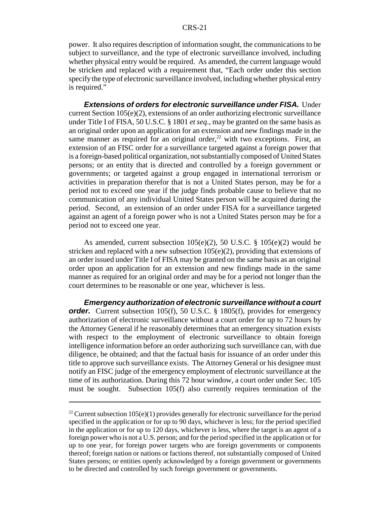power. It also requires description of information sought, the communications to be subject to surveillance, and the type of electronic surveillance involved, including whether physical entry would be required. As amended, the current language would be stricken and replaced with a requirement that, "Each order under this section specify the type of electronic surveillance involved, including whether physical entry is required."

*Extensions of orders for electronic surveillance under FISA.* Under current Section  $105(e)(2)$ , extensions of an order authorizing electronic surveillance under Title I of FISA, 50 U.S.C. § 1801 *et seq*., may be granted on the same basis as an original order upon an application for an extension and new findings made in the same manner as required for an original order, $^{22}$  with two exceptions. First, an extension of an FISC order for a surveillance targeted against a foreign power that is a foreign-based political organization, not substantially composed of United States persons; or an entity that is directed and controlled by a foreign government or governments; or targeted against a group engaged in international terrorism or activities in preparation therefor that is not a United States person, may be for a period not to exceed one year if the judge finds probable cause to believe that no communication of any individual United States person will be acquired during the period. Second, an extension of an order under FISA for a surveillance targeted against an agent of a foreign power who is not a United States person may be for a period not to exceed one year.

As amended, current subsection 105(e)(2), 50 U.S.C. § 105(e)(2) would be stricken and replaced with a new subsection  $105(e)(2)$ , providing that extensions of an order issued under Title I of FISA may be granted on the same basis as an original order upon an application for an extension and new findings made in the same manner as required for an original order and may be for a period not longer than the court determines to be reasonable or one year, whichever is less.

*Emergency authorization of electronic surveillance without a court* **order.** Current subsection 105(f), 50 U.S.C. § 1805(f), provides for emergency authorization of electronic surveillance without a court order for up to 72 hours by the Attorney General if he reasonably determines that an emergency situation exists with respect to the employment of electronic surveillance to obtain foreign intelligence information before an order authorizing such surveillance can, with due diligence, be obtained; and that the factual basis for issuance of an order under this title to approve such surveillance exists. The Attorney General or his designee must notify an FISC judge of the emergency employment of electronic surveillance at the time of its authorization. During this 72 hour window, a court order under Sec. 105 must be sought. Subsection 105(f) also currently requires termination of the

<sup>&</sup>lt;sup>22</sup> Current subsection 105(e)(1) provides generally for electronic surveillance for the period specified in the application or for up to 90 days, whichever is less; for the period specified in the application or for up to 120 days, whichever is less, where the target is an agent of a foreign power who is not a U.S. person; and for the period specified in the application or for up to one year, for foreign power targets who are foreign governments or components thereof; foreign nation or nations or factions thereof, not substantially composed of United States persons; or entities openly acknowledged by a foreign government or governments to be directed and controlled by such foreign government or governments.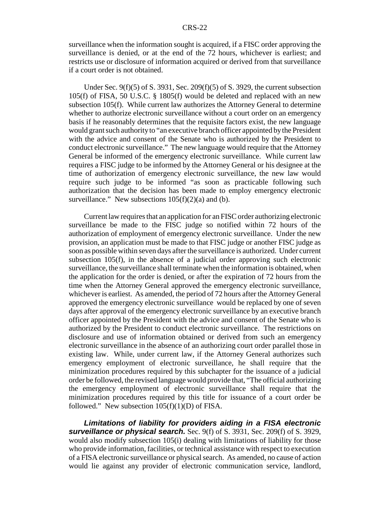surveillance when the information sought is acquired, if a FISC order approving the surveillance is denied, or at the end of the 72 hours, whichever is earliest; and restricts use or disclosure of information acquired or derived from that surveillance if a court order is not obtained.

Under Sec. 9(f)(5) of S. 3931, Sec. 209(f)(5) of S. 3929, the current subsection 105(f) of FISA, 50 U.S.C. § 1805(f) would be deleted and replaced with an new subsection 105(f). While current law authorizes the Attorney General to determine whether to authorize electronic surveillance without a court order on an emergency basis if he reasonably determines that the requisite factors exist, the new language would grant such authority to "an executive branch officer appointed by the President with the advice and consent of the Senate who is authorized by the President to conduct electronic surveillance." The new language would require that the Attorney General be informed of the emergency electronic surveillance. While current law requires a FISC judge to be informed by the Attorney General or his designee at the time of authorization of emergency electronic surveillance, the new law would require such judge to be informed "as soon as practicable following such authorization that the decision has been made to employ emergency electronic surveillance." New subsections  $105(f)(2)(a)$  and (b).

Current law requires that an application for an FISC order authorizing electronic surveillance be made to the FISC judge so notified within 72 hours of the authorization of employment of emergency electronic surveillance. Under the new provision, an application must be made to that FISC judge or another FISC judge as soon as possible within seven days after the surveillance is authorized. Under current subsection 105(f), in the absence of a judicial order approving such electronic surveillance, the surveillance shall terminate when the information is obtained, when the application for the order is denied, or after the expiration of 72 hours from the time when the Attorney General approved the emergency electronic surveillance, whichever is earliest. As amended, the period of 72 hours after the Attorney General approved the emergency electronic surveillance would be replaced by one of seven days after approval of the emergency electronic surveillance by an executive branch officer appointed by the President with the advice and consent of the Senate who is authorized by the President to conduct electronic surveillance. The restrictions on disclosure and use of information obtained or derived from such an emergency electronic surveillance in the absence of an authorizing court order parallel those in existing law. While, under current law, if the Attorney General authorizes such emergency employment of electronic surveillance, he shall require that the minimization procedures required by this subchapter for the issuance of a judicial order be followed, the revised language would provide that, "The official authorizing the emergency employment of electronic surveillance shall require that the minimization procedures required by this title for issuance of a court order be followed." New subsection  $105(f)(1)(D)$  of FISA.

*Limitations of liability for providers aiding in a FISA electronic surveillance or physical search.* Sec. 9(f) of S. 3931, Sec. 209(f) of S. 3929, would also modify subsection 105(i) dealing with limitations of liability for those who provide information, facilities, or technical assistance with respect to execution of a FISA electronic surveillance or physical search. As amended, no cause of action would lie against any provider of electronic communication service, landlord,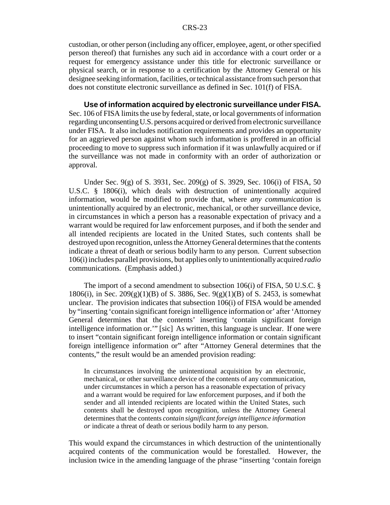custodian, or other person (including any officer, employee, agent, or other specified person thereof) that furnishes any such aid in accordance with a court order or a request for emergency assistance under this title for electronic surveillance or physical search, or in response to a certification by the Attorney General or his designee seeking information, facilities, or technical assistance from such person that does not constitute electronic surveillance as defined in Sec. 101(f) of FISA.

**Use of information acquired by electronic surveillance under FISA.** Sec. 106 of FISA limits the use by federal, state, or local governments of information regarding unconsenting U.S. persons acquired or derived from electronic surveillance under FISA. It also includes notification requirements and provides an opportunity for an aggrieved person against whom such information is proffered in an official proceeding to move to suppress such information if it was unlawfully acquired or if the surveillance was not made in conformity with an order of authorization or approval.

Under Sec. 9(g) of S. 3931, Sec. 209(g) of S. 3929, Sec. 106(i) of FISA, 50 U.S.C. § 1806(i), which deals with destruction of unintentionally acquired information, would be modified to provide that, where *any communication* is unintentionally acquired by an electronic, mechanical, or other surveillance device, in circumstances in which a person has a reasonable expectation of privacy and a warrant would be required for law enforcement purposes, and if both the sender and all intended recipients are located in the United States, such contents shall be destroyed upon recognition, unless the Attorney General determines that the contents indicate a threat of death or serious bodily harm to any person. Current subsection 106(i) includes parallel provisions, but applies only to unintentionally acquired *radio* communications. (Emphasis added.)

The import of a second amendment to subsection 106(i) of FISA, 50 U.S.C. § 1806(i), in Sec. 209(g)(1)(B) of S. 3886, Sec. 9(g)(1)(B) of S. 2453, is somewhat unclear. The provision indicates that subsection 106(i) of FISA would be amended by "inserting 'contain significant foreign intelligence information or' after 'Attorney General determines that the contents' inserting 'contain significant foreign intelligence information or.'" [sic] As written, this language is unclear. If one were to insert "contain significant foreign intelligence information or contain significant foreign intelligence information or" after "Attorney General determines that the contents," the result would be an amended provision reading:

In circumstances involving the unintentional acquisition by an electronic, mechanical, or other surveillance device of the contents of any communication, under circumstances in which a person has a reasonable expectation of privacy and a warrant would be required for law enforcement purposes, and if both the sender and all intended recipients are located within the United States, such contents shall be destroyed upon recognition, unless the Attorney General determines that the contents *contain significant foreign intelligence information or* indicate a threat of death or serious bodily harm to any person.

This would expand the circumstances in which destruction of the unintentionally acquired contents of the communication would be forestalled. However, the inclusion twice in the amending language of the phrase "inserting 'contain foreign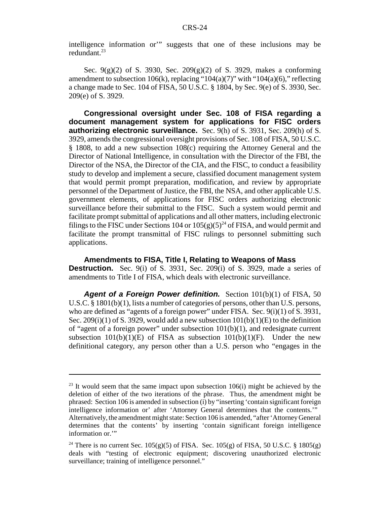intelligence information or'" suggests that one of these inclusions may be redundant. $^{23}$ 

Sec. 9(g)(2) of S. 3930, Sec. 209(g)(2) of S. 3929, makes a conforming amendment to subsection 106(k), replacing "104(a)(7)" with "104(a)(6)," reflecting a change made to Sec. 104 of FISA, 50 U.S.C. § 1804, by Sec. 9(e) of S. 3930, Sec. 209(e) of S. 3929.

**Congressional oversight under Sec. 108 of FISA regarding a document management system for applications for FISC orders authorizing electronic surveillance.** Sec. 9(h) of S. 3931, Sec. 209(h) of S. 3929, amends the congressional oversight provisions of Sec. 108 of FISA, 50 U.S.C. § 1808, to add a new subsection 108(c) requiring the Attorney General and the Director of National Intelligence, in consultation with the Director of the FBI, the Director of the NSA, the Director of the CIA, and the FISC, to conduct a feasibility study to develop and implement a secure, classified document management system that would permit prompt preparation, modification, and review by appropriate personnel of the Department of Justice, the FBI, the NSA, and other applicable U.S. government elements, of applications for FISC orders authorizing electronic surveillance before their submittal to the FISC. Such a system would permit and facilitate prompt submittal of applications and all other matters, including electronic filings to the FISC under Sections 104 or  $105(g)(5)^{24}$  of FISA, and would permit and facilitate the prompt transmittal of FISC rulings to personnel submitting such applications.

**Amendments to FISA, Title I, Relating to Weapons of Mass Destruction.** Sec. 9(i) of S. 3931, Sec. 209(i) of S. 3929, made a series of amendments to Title I of FISA, which deals with electronic surveillance.

Agent of a Foreign Power definition. Section 101(b)(1) of FISA, 50 U.S.C. § 1801(b)(1), lists a number of categories of persons, other than U.S. persons, who are defined as "agents of a foreign power" under FISA. Sec. 9(i)(1) of S. 3931, Sec. 209(i)(1) of S. 3929, would add a new subsection  $101(b)(1)(E)$  to the definition of "agent of a foreign power" under subsection  $101(b)(1)$ , and redesignate current subsection  $101(b)(1)(E)$  of FISA as subsection  $101(b)(1)(F)$ . Under the new definitional category, any person other than a U.S. person who "engages in the

 $23$  It would seem that the same impact upon subsection 106(i) might be achieved by the deletion of either of the two iterations of the phrase. Thus, the amendment might be phrased: Section 106 is amended in subsection (i) by "inserting 'contain significant foreign intelligence information or' after 'Attorney General determines that the contents.'" Alternatively, the amendment might state: Section 106 is amended, "after 'Attorney General determines that the contents' by inserting 'contain significant foreign intelligence information or.'"

<sup>&</sup>lt;sup>24</sup> There is no current Sec. 105(g)(5) of FISA. Sec. 105(g) of FISA, 50 U.S.C. § 1805(g) deals with "testing of electronic equipment; discovering unauthorized electronic surveillance; training of intelligence personnel."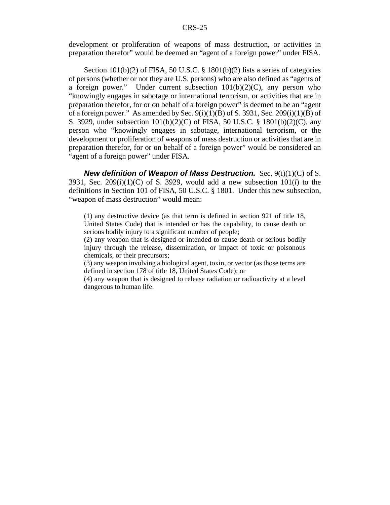development or proliferation of weapons of mass destruction, or activities in preparation therefor" would be deemed an "agent of a foreign power" under FISA.

Section 101(b)(2) of FISA, 50 U.S.C. § 1801(b)(2) lists a series of categories of persons (whether or not they are U.S. persons) who are also defined as "agents of a foreign power." Under current subsection  $101(b)(2)(C)$ , any person who "knowingly engages in sabotage or international terrorism, or activities that are in preparation therefor, for or on behalf of a foreign power" is deemed to be an "agent of a foreign power." As amended by Sec.  $9(i)(1)(B)$  of S. 3931, Sec. 209(i)(1)(B) of S. 3929, under subsection 101(b)(2)(C) of FISA, 50 U.S.C. § 1801(b)(2)(C), any person who "knowingly engages in sabotage, international terrorism, or the development or proliferation of weapons of mass destruction or activities that are in preparation therefor, for or on behalf of a foreign power" would be considered an "agent of a foreign power" under FISA.

*New definition of Weapon of Mass Destruction.* Sec. 9(i)(1)(C) of S. 3931, Sec. 209(i)(1)(C) of S. 3929, would add a new subsection 101(*l*) to the definitions in Section 101 of FISA, 50 U.S.C. § 1801. Under this new subsection, "weapon of mass destruction" would mean:

(1) any destructive device (as that term is defined in section 921 of title 18, United States Code) that is intended or has the capability, to cause death or serious bodily injury to a significant number of people;

(2) any weapon that is designed or intended to cause death or serious bodily injury through the release, dissemination, or impact of toxic or poisonous chemicals, or their precursors;

(3) any weapon involving a biological agent, toxin, or vector (as those terms are defined in section 178 of title 18, United States Code); or

(4) any weapon that is designed to release radiation or radioactivity at a level dangerous to human life.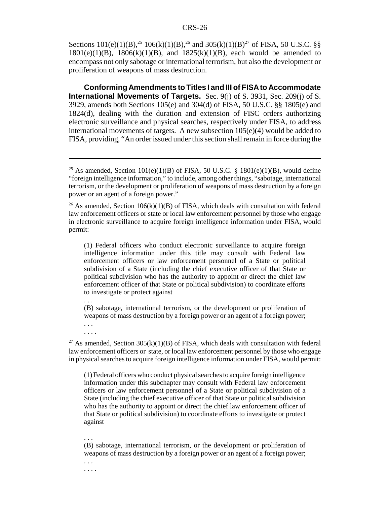Sections  $101(e)(1)(B)$ ,<sup>25</sup>  $106(k)(1)(B)$ ,<sup>26</sup> and  $305(k)(1)(B)$ <sup>27</sup> of FISA, 50 U.S.C. §§  $1801(e)(1)(B)$ ,  $1806(k)(1)(B)$ , and  $1825(k)(1)(B)$ , each would be amended to encompass not only sabotage or international terrorism, but also the development or proliferation of weapons of mass destruction.

**Conforming Amendments to Titles I and III of FISA to Accommodate International Movements of Targets.** Sec. 9(j) of S. 3931, Sec. 209(j) of S. 3929, amends both Sections 105(e) and 304(d) of FISA, 50 U.S.C. §§ 1805(e) and 1824(d), dealing with the duration and extension of FISC orders authorizing electronic surveillance and physical searches, respectively under FISA, to address international movements of targets. A new subsection 105(e)(4) would be added to FISA, providing, "An order issued under this section shall remain in force during the

<sup>26</sup> As amended, Section 106(k)(1)(B) of FISA, which deals with consultation with federal law enforcement officers or state or local law enforcement personnel by those who engage in electronic surveillance to acquire foreign intelligence information under FISA, would permit:

(1) Federal officers who conduct electronic surveillance to acquire foreign intelligence information under this title may consult with Federal law enforcement officers or law enforcement personnel of a State or political subdivision of a State (including the chief executive officer of that State or political subdivision who has the authority to appoint or direct the chief law enforcement officer of that State or political subdivision) to coordinate efforts to investigate or protect against

. . .

(B) sabotage, international terrorism, or the development or proliferation of weapons of mass destruction by a foreign power or an agent of a foreign power;

. . . . . . .

<sup>27</sup> As amended, Section 305(k)(1)(B) of FISA, which deals with consultation with federal law enforcement officers or state, or local law enforcement personnel by those who engage in physical searches to acquire foreign intelligence information under FISA, would permit:

(1) Federal officers who conduct physical searches to acquire foreign intelligence information under this subchapter may consult with Federal law enforcement officers or law enforcement personnel of a State or political subdivision of a State (including the chief executive officer of that State or political subdivision who has the authority to appoint or direct the chief law enforcement officer of that State or political subdivision) to coordinate efforts to investigate or protect against

#### . . .

(B) sabotage, international terrorism, or the development or proliferation of weapons of mass destruction by a foreign power or an agent of a foreign power;

. . . . . . .

<sup>&</sup>lt;sup>25</sup> As amended, Section 101(e)(1)(B) of FISA, 50 U.S.C. § 1801(e)(1)(B), would define "foreign intelligence information," to include, among other things, "sabotage, international terrorism, or the development or proliferation of weapons of mass destruction by a foreign power or an agent of a foreign power."